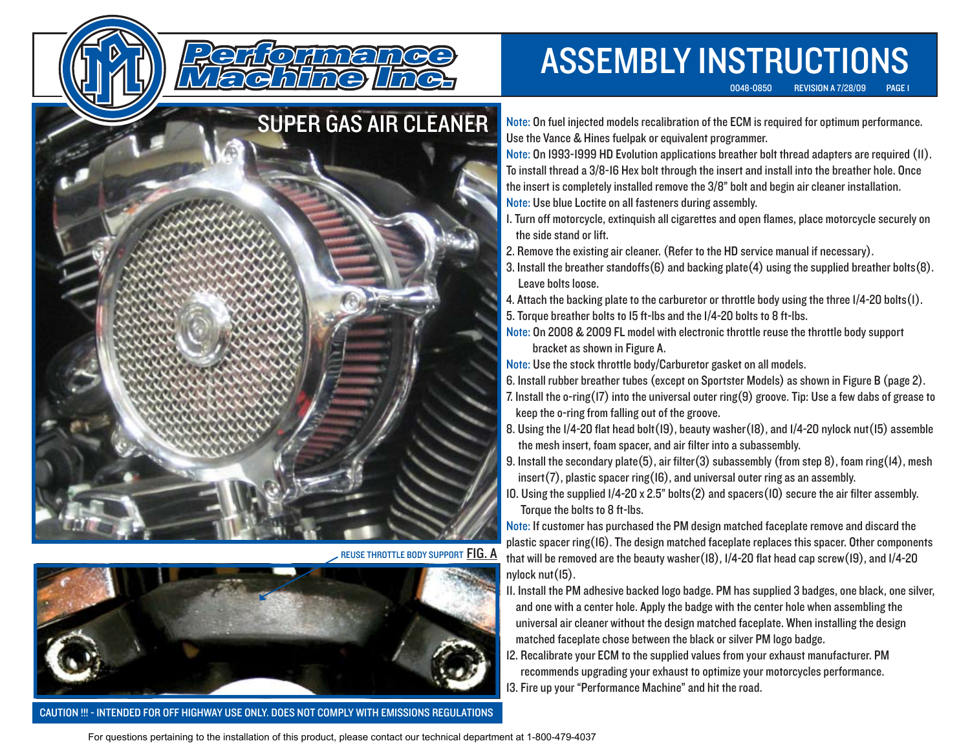

REUSE THROTTLE BODY SUPPORT <mark>FIG. A</mark>



CAUTION !!! - INTENDED FOR OFF HIGHWAY USE ONLY. DOES NOT COMPLY WITH EMISSIONS REGULATIONS

## ASSEMBLY INSTRUCTIONS

0048-0850 REVISION A 7/28/09 PAGE 1

Note: On fuel injected models recalibration of the ECM is required for optimum performance. Use the Vance & Hines fuelpak or equivalent programmer.

Note: On 1993-1999 HD Evolution applications breather bolt thread adapters are required (11). To install thread a 3/8-16 Hex bolt through the insert and install into the breather hole. Once the insert is completely installed remove the 3/8" bolt and begin air cleaner installation. Note: Use blue Loctite on all fasteners during assembly.

- 1. Turn off motorcycle, extinquish all cigarettes and open flames, place motorcycle securely on the side stand or lift.
- 2. Remove the existing air cleaner. (Refer to the HD service manual if necessary).
- 3. Install the breather standoffs(6) and backing plate(4) using the supplied breather bolts(8). Leave bolts loose.
- 4. Attach the backing plate to the carburetor or throttle body using the three 1/4-20 bolts(1).
- 5. Torque breather bolts to 15 ft-lbs and the 1/4-20 bolts to 8 ft-lbs.

bracket as shown in Figure A. Note: On 2008 & 2009 FL model with electronic throttle reuse the throttle body support

Note: Use the stock throttle body/Carburetor gasket on all models.

6. Install rubber breather tubes (except on Sportster Models) as shown in Figure B (page 2).

- 7. Install the o-ring(17) into the universal outer ring(9) groove. Tip: Use a few dabs of grease to keep the o-ring from falling out of the groove.
- 8. Using the 1/4-20 flat head bolt(19), beauty washer(18), and 1/4-20 nylock nut(15) assemble the mesh insert, foam spacer, and air filter into a subassembly.
- 9. Install the secondary plate(5), air filter(3) subassembly (from step 8), foam ring(14), mesh insert(7), plastic spacer ring( $16$ ), and universal outer ring as an assembly.
- 10. Using the supplied 1/4-20 x 2.5" bolts(2) and spacers(10) secure the air filter assembly. Torque the bolts to 8 ft-lbs.

Note: If customer has purchased the PM design matched faceplate remove and discard the plastic spacer ring(16). The design matched faceplate replaces this spacer. Other components that will be removed are the beauty washer(18), 1/4-20 flat head cap screw(19), and 1/4-20 nylock nut(15).

- 11. Install the PM adhesive backed logo badge. PM has supplied 3 badges, one black, one silver, and one with a center hole. Apply the badge with the center hole when assembling the universal air cleaner without the design matched faceplate. When installing the design matched faceplate chose between the black or silver PM logo badge.
- 12. Recalibrate your ECM to the supplied values from your exhaust manufacturer. PM recommends upgrading your exhaust to optimize your motorcycles performance. 13. Fire up your "Performance Machine" and hit the road.

For questions pertaining to the installation of this product, please contact our technical department at 1-800-479-4037